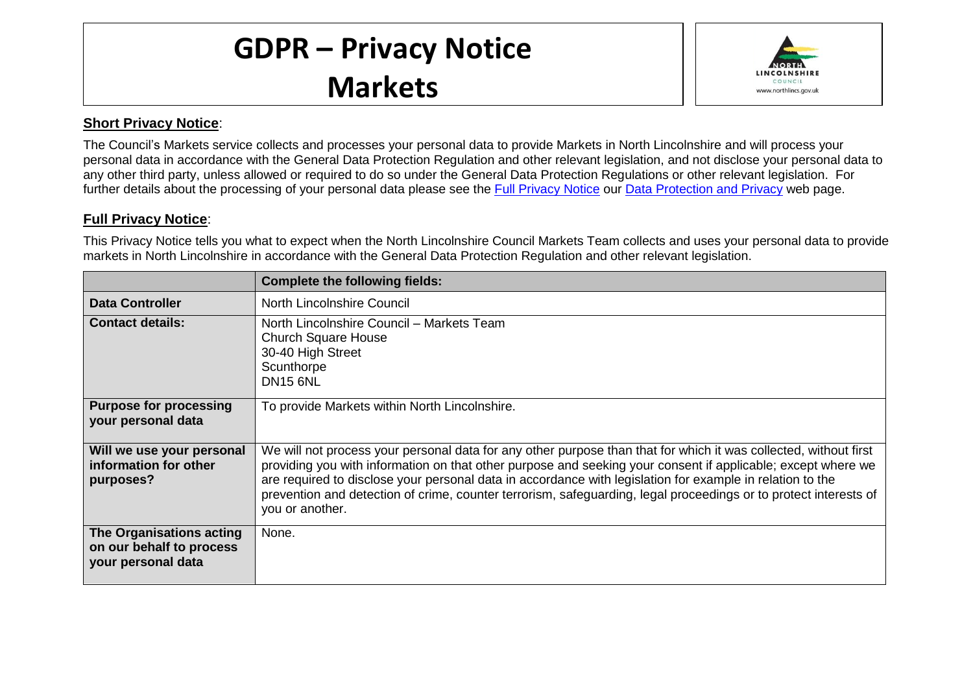## **GDPR – Privacy Notice Markets**



## **Short Privacy Notice**:

The Council's Markets service collects and processes your personal data to provide Markets in North Lincolnshire and will process your personal data in accordance with the General Data Protection Regulation and other relevant legislation, and not disclose your personal data to any other third party, unless allowed or required to do so under the General Data Protection Regulations or other relevant legislation. For further details about the processing of your personal data please see the [Full Privacy Notice](http://www.northlincs.gov.uk/site/privacy/) our [Data Protection and Privacy](http://www.northlincs.gov.uk/your-council/information-and-performance/information-governance/dataprotection/) web page.

## **Full Privacy Notice**:

This Privacy Notice tells you what to expect when the North Lincolnshire Council Markets Team collects and uses your personal data to provide markets in North Lincolnshire in accordance with the General Data Protection Regulation and other relevant legislation.

|                                                                            | <b>Complete the following fields:</b>                                                                                                                                                                                                                                                                                                                                                                                                                                                |
|----------------------------------------------------------------------------|--------------------------------------------------------------------------------------------------------------------------------------------------------------------------------------------------------------------------------------------------------------------------------------------------------------------------------------------------------------------------------------------------------------------------------------------------------------------------------------|
| <b>Data Controller</b>                                                     | North Lincolnshire Council                                                                                                                                                                                                                                                                                                                                                                                                                                                           |
| <b>Contact details:</b>                                                    | North Lincolnshire Council - Markets Team<br><b>Church Square House</b><br>30-40 High Street<br>Scunthorpe<br><b>DN15 6NL</b>                                                                                                                                                                                                                                                                                                                                                        |
| <b>Purpose for processing</b><br>your personal data                        | To provide Markets within North Lincolnshire.                                                                                                                                                                                                                                                                                                                                                                                                                                        |
| Will we use your personal<br>information for other<br>purposes?            | We will not process your personal data for any other purpose than that for which it was collected, without first<br>providing you with information on that other purpose and seeking your consent if applicable; except where we<br>are required to disclose your personal data in accordance with legislation for example in relation to the<br>prevention and detection of crime, counter terrorism, safeguarding, legal proceedings or to protect interests of<br>you or another. |
| The Organisations acting<br>on our behalf to process<br>your personal data | None.                                                                                                                                                                                                                                                                                                                                                                                                                                                                                |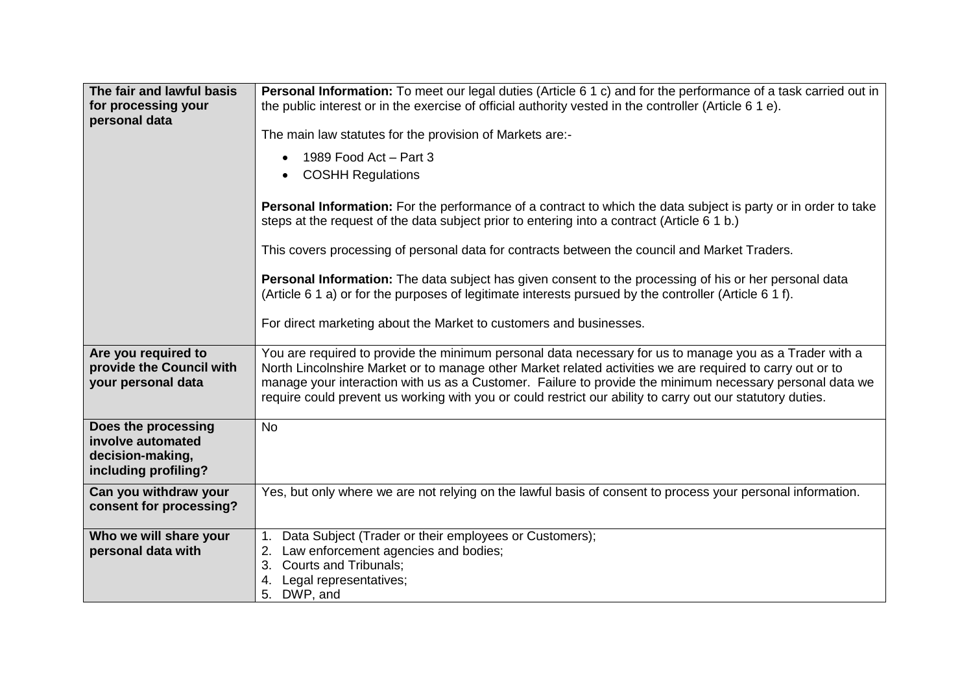| The fair and lawful basis<br>for processing your<br>personal data                    | Personal Information: To meet our legal duties (Article 6 1 c) and for the performance of a task carried out in<br>the public interest or in the exercise of official authority vested in the controller (Article $61e$ ).                                                                                                                                                                                                                     |
|--------------------------------------------------------------------------------------|------------------------------------------------------------------------------------------------------------------------------------------------------------------------------------------------------------------------------------------------------------------------------------------------------------------------------------------------------------------------------------------------------------------------------------------------|
|                                                                                      | The main law statutes for the provision of Markets are:-                                                                                                                                                                                                                                                                                                                                                                                       |
|                                                                                      | 1989 Food Act - Part 3<br><b>COSHH Regulations</b>                                                                                                                                                                                                                                                                                                                                                                                             |
|                                                                                      | Personal Information: For the performance of a contract to which the data subject is party or in order to take<br>steps at the request of the data subject prior to entering into a contract (Article 6 1 b.)                                                                                                                                                                                                                                  |
|                                                                                      | This covers processing of personal data for contracts between the council and Market Traders.                                                                                                                                                                                                                                                                                                                                                  |
|                                                                                      | Personal Information: The data subject has given consent to the processing of his or her personal data<br>(Article 6 1 a) or for the purposes of legitimate interests pursued by the controller (Article 6 1 f).                                                                                                                                                                                                                               |
|                                                                                      | For direct marketing about the Market to customers and businesses.                                                                                                                                                                                                                                                                                                                                                                             |
| Are you required to<br>provide the Council with<br>your personal data                | You are required to provide the minimum personal data necessary for us to manage you as a Trader with a<br>North Lincolnshire Market or to manage other Market related activities we are required to carry out or to<br>manage your interaction with us as a Customer. Failure to provide the minimum necessary personal data we<br>require could prevent us working with you or could restrict our ability to carry out our statutory duties. |
| Does the processing<br>involve automated<br>decision-making,<br>including profiling? | <b>No</b>                                                                                                                                                                                                                                                                                                                                                                                                                                      |
| Can you withdraw your<br>consent for processing?                                     | Yes, but only where we are not relying on the lawful basis of consent to process your personal information.                                                                                                                                                                                                                                                                                                                                    |
| Who we will share your<br>personal data with                                         | Data Subject (Trader or their employees or Customers);<br>1.<br>2. Law enforcement agencies and bodies;<br><b>Courts and Tribunals;</b><br>3.<br>Legal representatives;<br>5. DWP, and                                                                                                                                                                                                                                                         |